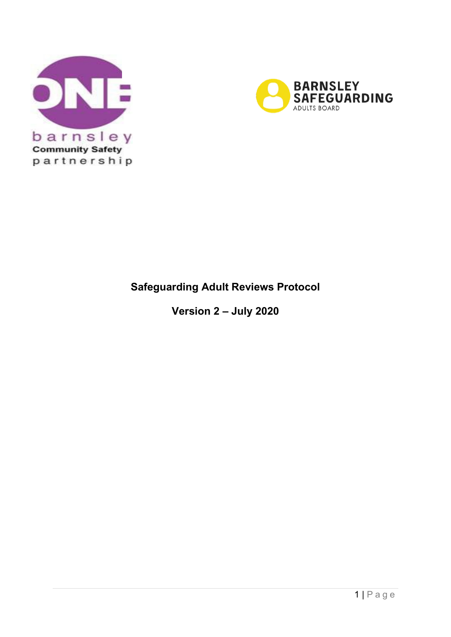



# **Safeguarding Adult Reviews Protocol**

 **Version 2 – July 2020**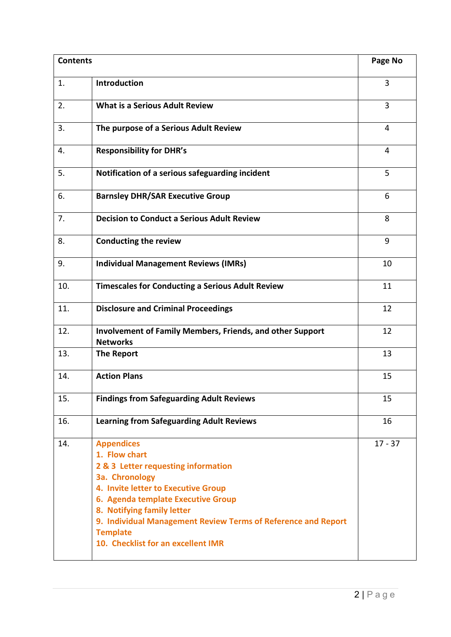| <b>Contents</b> |                                                                                                                                                                                                                                                                                                                                  | Page No   |
|-----------------|----------------------------------------------------------------------------------------------------------------------------------------------------------------------------------------------------------------------------------------------------------------------------------------------------------------------------------|-----------|
| 1.              | <b>Introduction</b>                                                                                                                                                                                                                                                                                                              | 3         |
| 2.              | <b>What is a Serious Adult Review</b>                                                                                                                                                                                                                                                                                            | 3         |
| 3.              | The purpose of a Serious Adult Review                                                                                                                                                                                                                                                                                            | 4         |
| 4.              | <b>Responsibility for DHR's</b>                                                                                                                                                                                                                                                                                                  | 4         |
| 5.              | Notification of a serious safeguarding incident                                                                                                                                                                                                                                                                                  | 5         |
| 6.              | <b>Barnsley DHR/SAR Executive Group</b>                                                                                                                                                                                                                                                                                          | 6         |
| 7.              | <b>Decision to Conduct a Serious Adult Review</b>                                                                                                                                                                                                                                                                                | 8         |
| 8.              | <b>Conducting the review</b>                                                                                                                                                                                                                                                                                                     | 9         |
| 9.              | <b>Individual Management Reviews (IMRs)</b>                                                                                                                                                                                                                                                                                      | 10        |
| 10.             | <b>Timescales for Conducting a Serious Adult Review</b>                                                                                                                                                                                                                                                                          | 11        |
| 11.             | <b>Disclosure and Criminal Proceedings</b>                                                                                                                                                                                                                                                                                       | 12        |
| 12.             | <b>Involvement of Family Members, Friends, and other Support</b><br><b>Networks</b>                                                                                                                                                                                                                                              | 12        |
| 13.             | <b>The Report</b>                                                                                                                                                                                                                                                                                                                | 13        |
| 14.             | <b>Action Plans</b>                                                                                                                                                                                                                                                                                                              | 15        |
| 15.             | <b>Findings from Safeguarding Adult Reviews</b>                                                                                                                                                                                                                                                                                  | 15        |
| 16.             | <b>Learning from Safeguarding Adult Reviews</b>                                                                                                                                                                                                                                                                                  | 16        |
| 14.             | <b>Appendices</b><br>1. Flow chart<br>2 & 3 Letter requesting information<br>3a. Chronology<br>4. Invite letter to Executive Group<br>6. Agenda template Executive Group<br>8. Notifying family letter<br>9. Individual Management Review Terms of Reference and Report<br><b>Template</b><br>10. Checklist for an excellent IMR | $17 - 37$ |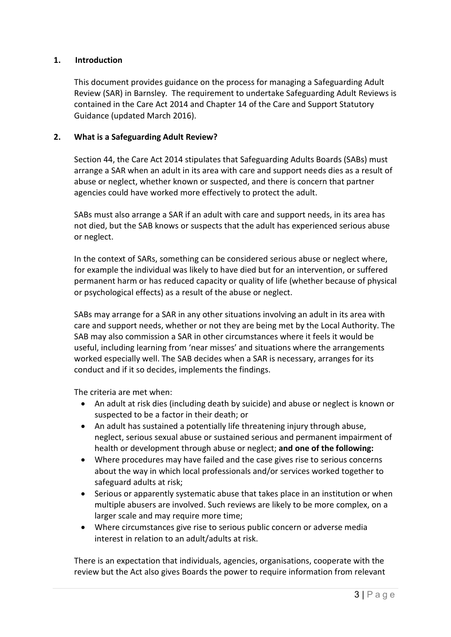# **1. Introduction**

 This document provides guidance on the process for managing a Safeguarding Adult Review (SAR) in Barnsley. The requirement to undertake Safeguarding Adult Reviews is contained in the Care Act 2014 and Chapter 14 of the Care and Support Statutory Guidance (updated March 2016).

# **2. What is a Safeguarding Adult Review?**

 arrange a SAR when an adult in its area with care and support needs dies as a result of Section 44, the Care Act 2014 stipulates that Safeguarding Adults Boards (SABs) must abuse or neglect, whether known or suspected, and there is concern that partner agencies could have worked more effectively to protect the adult.

 not died, but the SAB knows or suspects that the adult has experienced serious abuse SABs must also arrange a SAR if an adult with care and support needs, in its area has or neglect.

 for example the individual was likely to have died but for an intervention, or suffered permanent harm or has reduced capacity or quality of life (whether because of physical In the context of SARs, something can be considered serious abuse or neglect where, or psychological effects) as a result of the abuse or neglect.

 SABs may arrange for a SAR in any other situations involving an adult in its area with care and support needs, whether or not they are being met by the Local Authority. The worked especially well. The SAB decides when a SAR is necessary, arranges for its conduct and if it so decides, implements the findings.<br>The criteria are met when: SAB may also commission a SAR in other circumstances where it feels it would be useful, including learning from 'near misses' and situations where the arrangements

- suspected to be a factor in their death; or • An adult at risk dies (including death by suicide) and abuse or neglect is known or
- health or development through abuse or neglect; **and one of the following:**  • An adult has sustained a potentially life threatening injury through abuse, neglect, serious sexual abuse or sustained serious and permanent impairment of
- • Where procedures may have failed and the case gives rise to serious concerns about the way in which local professionals and/or services worked together to safeguard adults at risk;
- larger scale and may require more time; • Serious or apparently systematic abuse that takes place in an institution or when multiple abusers are involved. Such reviews are likely to be more complex, on a
- Where circumstances give rise to serious public concern or adverse media interest in relation to an adult/adults at risk.

There is an expectation that individuals, agencies, organisations, cooperate with the review but the Act also gives Boards the power to require information from relevant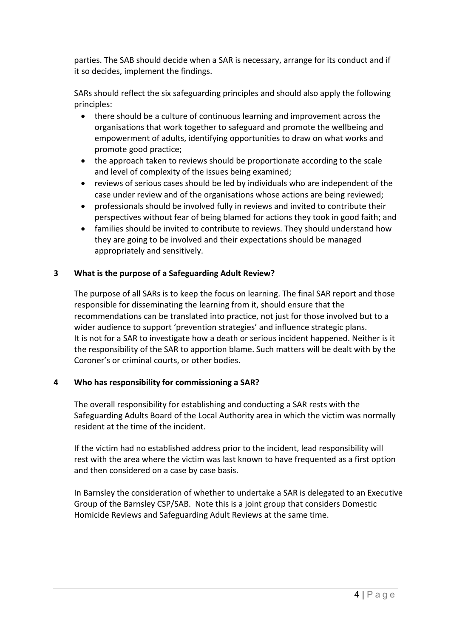parties. The SAB should decide when a SAR is necessary, arrange for its conduct and if it so decides, implement the findings.

 SARs should reflect the six safeguarding principles and should also apply the following principles:

- • there should be a culture of continuous learning and improvement across the organisations that work together to safeguard and promote the wellbeing and empowerment of adults, identifying opportunities to draw on what works and promote good practice;
- • the approach taken to reviews should be proportionate according to the scale and level of complexity of the issues being examined;
- reviews of serious cases should be led by individuals who are independent of the case under review and of the organisations whose actions are being reviewed;
- perspectives without fear of being blamed for actions they took in good faith; and • professionals should be involved fully in reviews and invited to contribute their
- they are going to be involved and their expectations should be managed • families should be invited to contribute to reviews. They should understand how appropriately and sensitively.

# **3 What is the purpose of a Safeguarding Adult Review?**

 responsible for disseminating the learning from it, should ensure that the the responsibility of the SAR to apportion blame. Such matters will be dealt with by the Coroner's or criminal courts, or other bodies. The purpose of all SARs is to keep the focus on learning. The final SAR report and those recommendations can be translated into practice, not just for those involved but to a wider audience to support 'prevention strategies' and influence strategic plans. It is not for a SAR to investigate how a death or serious incident happened. Neither is it

# **4 Who has responsibility for commissioning a SAR?**

 The overall responsibility for establishing and conducting a SAR rests with the Safeguarding Adults Board of the Local Authority area in which the victim was normally resident at the time of the incident.

 If the victim had no established address prior to the incident, lead responsibility will rest with the area where the victim was last known to have frequented as a first option and then considered on a case by case basis.

In Barnsley the consideration of whether to undertake a SAR is delegated to an Executive Group of the Barnsley CSP/SAB. Note this is a joint group that considers Domestic Homicide Reviews and Safeguarding Adult Reviews at the same time.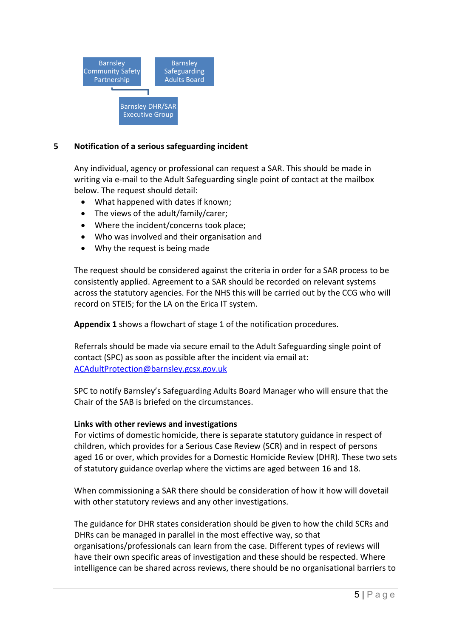

# **5 Notification of a serious safeguarding incident**

Any individual, agency or professional can request a SAR. This should be made in writing via e-mail to the Adult Safeguarding single point of contact at the mailbox below. The request should detail:

- What happened with dates if known;
- The views of the adult/family/carer;
- Where the incident/concerns took place;
- Who was involved and their organisation and
- Why the request is being made

 across the statutory agencies. For the NHS this will be carried out by the CCG who will The request should be considered against the criteria in order for a SAR process to be consistently applied. Agreement to a SAR should be recorded on relevant systems record on STEIS; for the LA on the Erica IT system.

**Appendix 1** shows a flowchart of stage 1 of the notification procedures.

 contact (SPC) as soon as possible after the incident via email at: ACAdultProtection@barnsley.gcsx.gov.uk Referrals should be made via secure email to the Adult Safeguarding single point of

<u>ACAdultProtection@barnsley.gcsx.gov.uk</u><br>SPC to notify Barnsley's Safeguarding Adults Board Manager who will ensure that the Chair of the SAB is briefed on the circumstances.

# **Links with other reviews and investigations**

 For victims of domestic homicide, there is separate statutory guidance in respect of aged 16 or over, which provides for a Domestic Homicide Review (DHR). These two sets of statutory guidance overlap where the victims are aged between 16 and 18. children, which provides for a Serious Case Review (SCR) and in respect of persons

 When commissioning a SAR there should be consideration of how it how will dovetail with other statutory reviews and any other investigations.

 The guidance for DHR states consideration should be given to how the child SCRs and DHRs can be managed in parallel in the most effective way, so that organisations/professionals can learn from the case. Different types of reviews will have their own specific areas of investigation and these should be respected. Where intelligence can be shared across reviews, there should be no organisational barriers to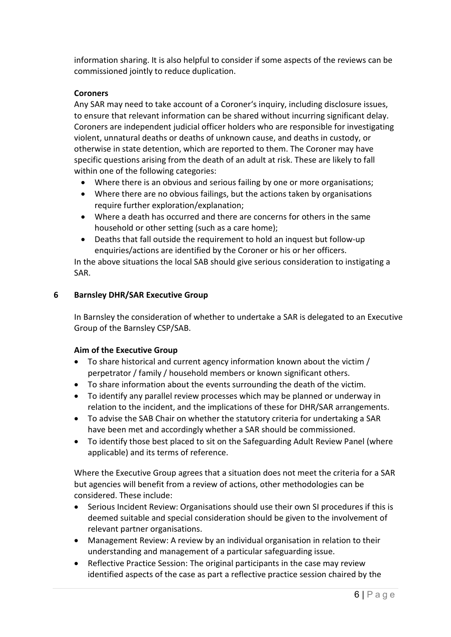information sharing. It is also helpful to consider if some aspects of the reviews can be commissioned jointly to reduce duplication.

# **Coroners**

 Any SAR may need to take account of a Coroner's inquiry, including disclosure issues, Coroners are independent judicial officer holders who are responsible for investigating specific questions arising from the death of an adult at risk. These are likely to fall to ensure that relevant information can be shared without incurring significant delay. violent, unnatural deaths or deaths of unknown cause, and deaths in custody, or otherwise in state detention, which are reported to them. The Coroner may have within one of the following categories:

- Where there is an obvious and serious failing by one or more organisations;
- • Where there are no obvious failings, but the actions taken by organisations require further exploration/explanation;
- Where a death has occurred and there are concerns for others in the same household or other setting (such as a care home);
- Deaths that fall outside the requirement to hold an inquest but follow-up enquiries/actions are identified by the Coroner or his or her officers.

In the above situations the local SAB should give serious consideration to instigating a SAR.

# **6 Barnsley DHR/SAR Executive Group**

 Group of the Barnsley CSP/SAB. In Barnsley the consideration of whether to undertake a SAR is delegated to an Executive

# **Aim of the Executive Group**

- perpetrator / family / household members or known significant others. • To share historical and current agency information known about the victim /
- To share information about the events surrounding the death of the victim.
- • To identify any parallel review processes which may be planned or underway in relation to the incident, and the implications of these for DHR/SAR arrangements.
- • To advise the SAB Chair on whether the statutory criteria for undertaking a SAR have been met and accordingly whether a SAR should be commissioned.
- To identify those best placed to sit on the Safeguarding Adult Review Panel (where applicable) and its terms of reference.

 Where the Executive Group agrees that a situation does not meet the criteria for a SAR but agencies will benefit from a review of actions, other methodologies can be considered. These include:

- • Serious Incident Review: Organisations should use their own SI procedures if this is deemed suitable and special consideration should be given to the involvement of relevant partner organisations.
- • Management Review: A review by an individual organisation in relation to their understanding and management of a particular safeguarding issue.
- identified aspects of the case as part a reflective practice session chaired by the • Reflective Practice Session: The original participants in the case may review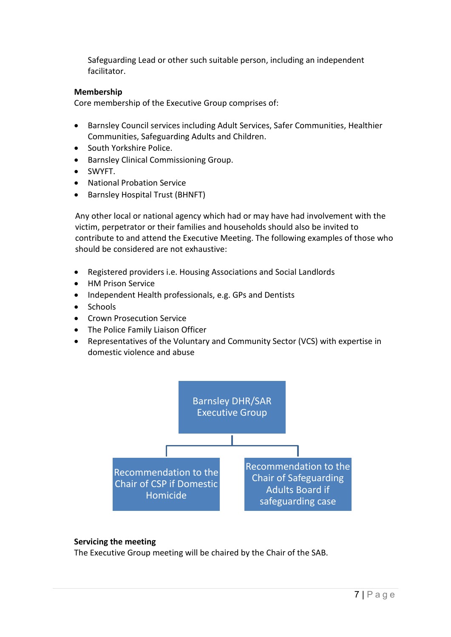Safeguarding Lead or other such suitable person, including an independent facilitator.

#### **Membership**

Core membership of the Executive Group comprises of:

- Barnsley Council services including Adult Services, Safer Communities, Healthier Communities, Safeguarding Adults and Children.
- South Yorkshire Police.
- Barnsley Clinical Commissioning Group.
- SWYFT.
- National Probation Service
- Barnsley Hospital Trust (BHNFT)

 Any other local or national agency which had or may have had involvement with the victim, perpetrator or their families and households should also be invited to contribute to and attend the Executive Meeting. The following examples of those who should be considered are not exhaustive:

- Registered providers i.e. Housing Associations and Social Landlords
- HM Prison Service
- Independent Health professionals, e.g. GPs and Dentists
- Schools
- Crown Prosecution Service
- The Police Family Liaison Officer
- Representatives of the Voluntary and Community Sector (VCS) with expertise in domestic violence and abuse



# **Servicing the meeting**

The Executive Group meeting will be chaired by the Chair of the SAB.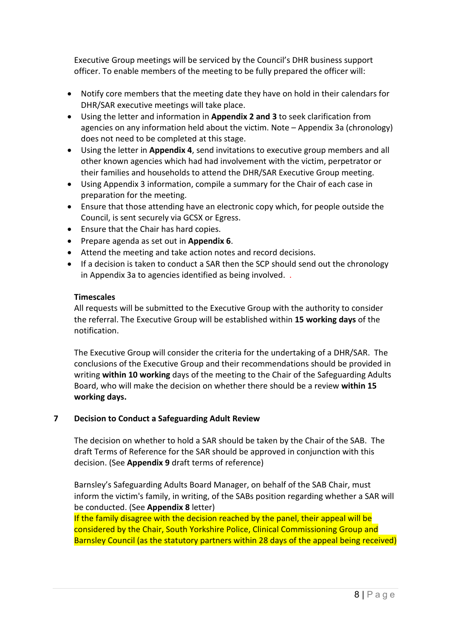officer. To enable members of the meeting to be fully prepared the officer will: Executive Group meetings will be serviced by the Council's DHR business support

- • Notify core members that the meeting date they have on hold in their calendars for DHR/SAR executive meetings will take place.
- • Using the letter and information in **Appendix 2 and 3** to seek clarification from agencies on any information held about the victim. Note – Appendix 3a (chronology) does not need to be completed at this stage.
- other known agencies which had had involvement with the victim, perpetrator or their families and households to attend the DHR/SAR Executive Group meeting. • Using the letter in **Appendix 4**, send invitations to executive group members and all
- Using Appendix 3 information, compile a summary for the Chair of each case in preparation for the meeting.
- • Ensure that those attending have an electronic copy which, for people outside the Council, is sent securely via GCSX or Egress.
- Ensure that the Chair has hard copies.
- Prepare agenda as set out in **Appendix 6**.
- Attend the meeting and take action notes and record decisions.
- in Appendix 3a to agencies identified as being involved. . • If a decision is taken to conduct a SAR then the SCP should send out the chronology

#### **Timescales**

 All requests will be submitted to the Executive Group with the authority to consider the referral. The Executive Group will be established within **15 working days** of the notification.

 The Executive Group will consider the criteria for the undertaking of a DHR/SAR. The writing **within 10 working** days of the meeting to the Chair of the Safeguarding Adults Board, who will make the decision on whether there should be a review **within 15**  conclusions of the Executive Group and their recommendations should be provided in **working days.** 

#### **Decision to Conduct a Safeguarding Adult Review 7**

 draft Terms of Reference for the SAR should be approved in conjunction with this The decision on whether to hold a SAR should be taken by the Chair of the SAB. The decision. (See **Appendix 9** draft terms of reference)

 inform the victim's family, in writing, of the SABs position regarding whether a SAR will be conducted. (See **Appendix 8** letter) Barnsley's Safeguarding Adults Board Manager, on behalf of the SAB Chair, must

If the family disagree with the decision reached by the panel, their appeal will be Barnsley Council (as the statutory partners within 28 days of the appeal being received) considered by the Chair, South Yorkshire Police, Clinical Commissioning Group and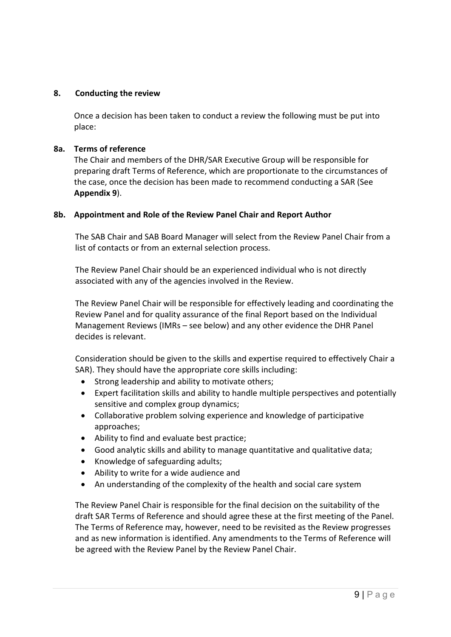# **8. Conducting the review**

 Once a decision has been taken to conduct a review the following must be put into place:

#### **8a. Terms of reference**

 The Chair and members of the DHR/SAR Executive Group will be responsible for preparing draft Terms of Reference, which are proportionate to the circumstances of the case, once the decision has been made to recommend conducting a SAR (See **Appendix 9**).

#### **8b. Appointment and Role of the Review Panel Chair and Report Author**

The SAB Chair and SAB Board Manager will select from the Review Panel Chair from a list of contacts or from an external selection process.

The Review Panel Chair should be an experienced individual who is not directly associated with any of the agencies involved in the Review.

 The Review Panel Chair will be responsible for effectively leading and coordinating the Management Reviews (IMRs – see below) and any other evidence the DHR Panel Review Panel and for quality assurance of the final Report based on the Individual decides is relevant.

 Consideration should be given to the skills and expertise required to effectively Chair a SAR). They should have the appropriate core skills including:

- Strong leadership and ability to motivate others;
- Expert facilitation skills and ability to handle multiple perspectives and potentially sensitive and complex group dynamics;
- Collaborative problem solving experience and knowledge of participative approaches;
- Ability to find and evaluate best practice;
- Good analytic skills and ability to manage quantitative and qualitative data;
- Knowledge of safeguarding adults;
- Ability to write for a wide audience and
- An understanding of the complexity of the health and social care system

 draft SAR Terms of Reference and should agree these at the first meeting of the Panel. The Terms of Reference may, however, need to be revisited as the Review progresses and as new information is identified. Any amendments to the Terms of Reference will be agreed with the Review Panel by the Review Panel Chair. The Review Panel Chair is responsible for the final decision on the suitability of the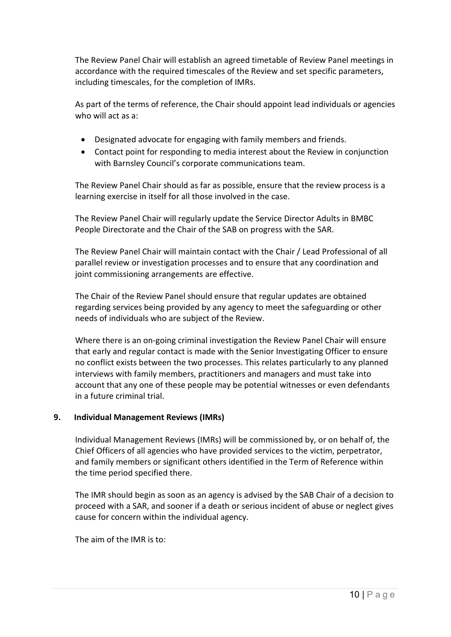The Review Panel Chair will establish an agreed timetable of Review Panel meetings in accordance with the required timescales of the Review and set specific parameters, including timescales, for the completion of IMRs.

As part of the terms of reference, the Chair should appoint lead individuals or agencies who will act as a:

- Designated advocate for engaging with family members and friends.
- • Contact point for responding to media interest about the Review in conjunction with Barnsley Council's corporate communications team.

The Review Panel Chair should as far as possible, ensure that the review process is a learning exercise in itself for all those involved in the case.

 The Review Panel Chair will regularly update the Service Director Adults in BMBC People Directorate and the Chair of the SAB on progress with the SAR.

 The Review Panel Chair will maintain contact with the Chair / Lead Professional of all parallel review or investigation processes and to ensure that any coordination and joint commissioning arrangements are effective.

 regarding services being provided by any agency to meet the safeguarding or other The Chair of the Review Panel should ensure that regular updates are obtained needs of individuals who are subject of the Review.

 Where there is an on-going criminal investigation the Review Panel Chair will ensure no conflict exists between the two processes. This relates particularly to any planned interviews with family members, practitioners and managers and must take into in a future criminal trial. that early and regular contact is made with the Senior Investigating Officer to ensure account that any one of these people may be potential witnesses or even defendants

# **9. Individual Management Reviews (IMRs)**

 Individual Management Reviews (IMRs) will be commissioned by, or on behalf of, the Chief Officers of all agencies who have provided services to the victim, perpetrator, and family members or significant others identified in the Term of Reference within the time period specified there.

The IMR should begin as soon as an agency is advised by the SAB Chair of a decision to proceed with a SAR, and sooner if a death or serious incident of abuse or neglect gives cause for concern within the individual agency.

The aim of the IMR is to: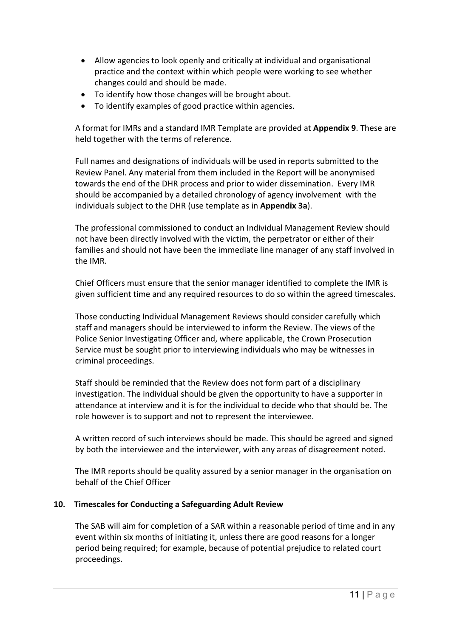- Allow agencies to look openly and critically at individual and organisational practice and the context within which people were working to see whether changes could and should be made.
- To identify how those changes will be brought about.
- To identify examples of good practice within agencies.

A format for IMRs and a standard IMR Template are provided at **Appendix 9**. These are held together with the terms of reference.

 Full names and designations of individuals will be used in reports submitted to the towards the end of the DHR process and prior to wider dissemination. Every IMR should be accompanied by a detailed chronology of agency involvement with the Review Panel. Any material from them included in the Report will be anonymised individuals subject to the DHR (use template as in **Appendix 3a**).

 not have been directly involved with the victim, the perpetrator or either of their families and should not have been the immediate line manager of any staff involved in The professional commissioned to conduct an Individual Management Review should the IMR.

Chief Officers must ensure that the senior manager identified to complete the IMR is given sufficient time and any required resources to do so within the agreed timescales.

 Service must be sought prior to interviewing individuals who may be witnesses in Those conducting Individual Management Reviews should consider carefully which staff and managers should be interviewed to inform the Review. The views of the Police Senior Investigating Officer and, where applicable, the Crown Prosecution criminal proceedings.

Staff should be reminded that the Review does not form part of a disciplinary investigation. The individual should be given the opportunity to have a supporter in attendance at interview and it is for the individual to decide who that should be. The role however is to support and not to represent the interviewee.

A written record of such interviews should be made. This should be agreed and signed by both the interviewee and the interviewer, with any areas of disagreement noted.

 The IMR reports should be quality assured by a senior manager in the organisation on behalf of the Chief Officer

# **10. Timescales for Conducting a Safeguarding Adult Review**

 The SAB will aim for completion of a SAR within a reasonable period of time and in any event within six months of initiating it, unless there are good reasons for a longer period being required; for example, because of potential prejudice to related court proceedings.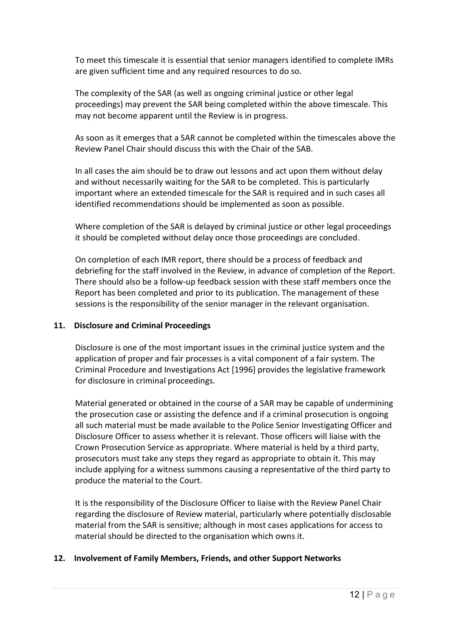To meet this timescale it is essential that senior managers identified to complete IMRs are given sufficient time and any required resources to do so.

The complexity of the SAR (as well as ongoing criminal justice or other legal proceedings) may prevent the SAR being completed within the above timescale. This may not become apparent until the Review is in progress.

As soon as it emerges that a SAR cannot be completed within the timescales above the Review Panel Chair should discuss this with the Chair of the SAB.

 and without necessarily waiting for the SAR to be completed. This is particularly important where an extended timescale for the SAR is required and in such cases all In all cases the aim should be to draw out lessons and act upon them without delay identified recommendations should be implemented as soon as possible.

 Where completion of the SAR is delayed by criminal justice or other legal proceedings it should be completed without delay once those proceedings are concluded.

 There should also be a follow-up feedback session with these staff members once the On completion of each IMR report, there should be a process of feedback and debriefing for the staff involved in the Review, in advance of completion of the Report. Report has been completed and prior to its publication. The management of these sessions is the responsibility of the senior manager in the relevant organisation.

# **11. Disclosure and Criminal Proceedings**

 Disclosure is one of the most important issues in the criminal justice system and the application of proper and fair processes is a vital component of a fair system. The Criminal Procedure and Investigations Act [1996] provides the legislative framework for disclosure in criminal proceedings.

 the prosecution case or assisting the defence and if a criminal prosecution is ongoing all such material must be made available to the Police Senior Investigating Officer and Disclosure Officer to assess whether it is relevant. Those officers will liaise with the prosecutors must take any steps they regard as appropriate to obtain it. This may include applying for a witness summons causing a representative of the third party to Material generated or obtained in the course of a SAR may be capable of undermining Crown Prosecution Service as appropriate. Where material is held by a third party, produce the material to the Court.

 It is the responsibility of the Disclosure Officer to liaise with the Review Panel Chair regarding the disclosure of Review material, particularly where potentially disclosable material from the SAR is sensitive; although in most cases applications for access to material should be directed to the organisation which owns it.

#### **12. Involvement of Family Members, Friends, and other Support Networks**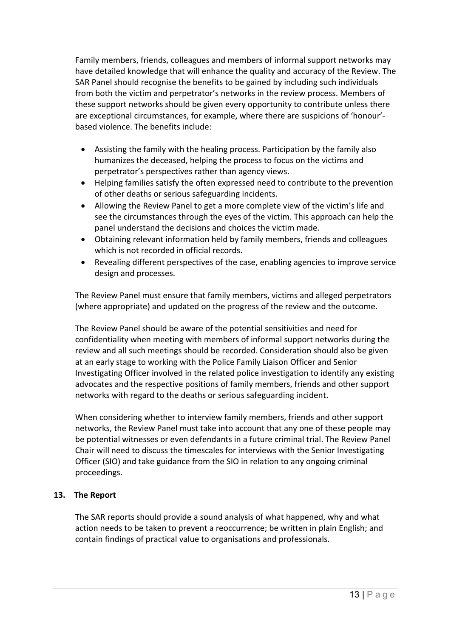have detailed knowledge that will enhance the quality and accuracy of the Review. The from both the victim and perpetrator's networks in the review process. Members of these support networks should be given every opportunity to contribute unless there Family members, friends, colleagues and members of informal support networks may SAR Panel should recognise the benefits to be gained by including such individuals are exceptional circumstances, for example, where there are suspicions of 'honour' based violence. The benefits include:

- • Assisting the family with the healing process. Participation by the family also humanizes the deceased, helping the process to focus on the victims and perpetrator's perspectives rather than agency views.
- Helping families satisfy the often expressed need to contribute to the prevention of other deaths or serious safeguarding incidents.
- see the circumstances through the eyes of the victim. This approach can help the • Allowing the Review Panel to get a more complete view of the victim's life and panel understand the decisions and choices the victim made.
- • Obtaining relevant information held by family members, friends and colleagues which is not recorded in official records.
- • Revealing different perspectives of the case, enabling agencies to improve service design and processes.

The Review Panel must ensure that family members, victims and alleged perpetrators (where appropriate) and updated on the progress of the review and the outcome.

 confidentiality when meeting with members of informal support networks during the Investigating Officer involved in the related police investigation to identify any existing advocates and the respective positions of family members, friends and other support networks with regard to the deaths or serious safeguarding incident. The Review Panel should be aware of the potential sensitivities and need for review and all such meetings should be recorded. Consideration should also be given at an early stage to working with the Police Family Liaison Officer and Senior

 networks, the Review Panel must take into account that any one of these people may be potential witnesses or even defendants in a future criminal trial. The Review Panel When considering whether to interview family members, friends and other support Chair will need to discuss the timescales for interviews with the Senior Investigating Officer (SIO) and take guidance from the SIO in relation to any ongoing criminal proceedings.

# **13. The Report**

 action needs to be taken to prevent a reoccurrence; be written in plain English; and contain findings of practical value to organisations and professionals. The SAR reports should provide a sound analysis of what happened, why and what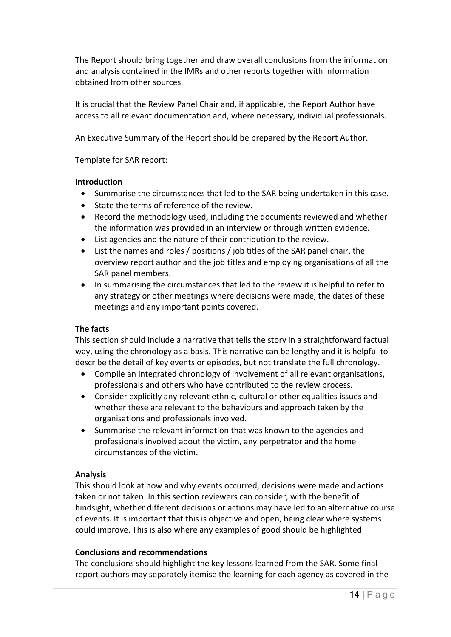The Report should bring together and draw overall conclusions from the information and analysis contained in the IMRs and other reports together with information obtained from other sources.

It is crucial that the Review Panel Chair and, if applicable, the Report Author have access to all relevant documentation and, where necessary, individual professionals.

An Executive Summary of the Report should be prepared by the Report Author.

#### Template for SAR report:

#### **Introduction**

- Summarise the circumstances that led to the SAR being undertaken in this case.
- State the terms of reference of the review.
- Record the methodology used, including the documents reviewed and whether the information was provided in an interview or through written evidence.
- List agencies and the nature of their contribution to the review.
- • List the names and roles / positions / job titles of the SAR panel chair, the overview report author and the job titles and employing organisations of all the SAR panel members.
- • In summarising the circumstances that led to the review it is helpful to refer to any strategy or other meetings where decisions were made, the dates of these meetings and any important points covered.

# **The facts**

 This section should include a narrative that tells the story in a straightforward factual way, using the chronology as a basis. This narrative can be lengthy and it is helpful to describe the detail of key events or episodes, but not translate the full chronology.

- Compile an integrated chronology of involvement of all relevant organisations, professionals and others who have contributed to the review process.
- whether these are relevant to the behaviours and approach taken by the • Consider explicitly any relevant ethnic, cultural or other equalities issues and organisations and professionals involved.
- circumstances of the victim. • Summarise the relevant information that was known to the agencies and professionals involved about the victim, any perpetrator and the home

# **Analysis**

 taken or not taken. In this section reviewers can consider, with the benefit of of events. It is important that this is objective and open, being clear where systems could improve. This is also where any examples of good should be highlighted This should look at how and why events occurred, decisions were made and actions hindsight, whether different decisions or actions may have led to an alternative course

# **Conclusions and recommendations**

 report authors may separately itemise the learning for each agency as covered in the The conclusions should highlight the key lessons learned from the SAR. Some final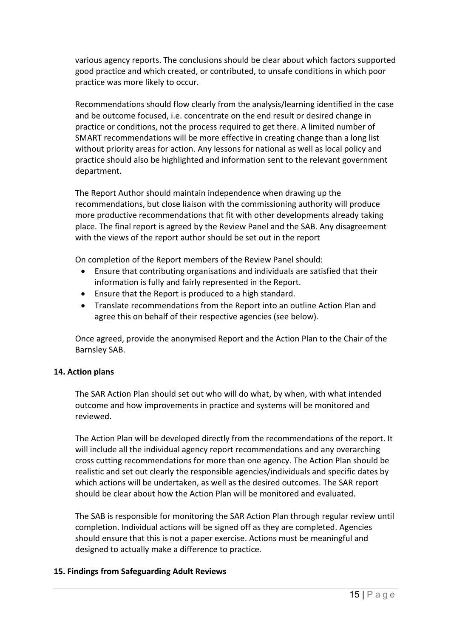good practice and which created, or contributed, to unsafe conditions in which poor practice was more likely to occur. various agency reports. The conclusions should be clear about which factors supported

 and be outcome focused, i.e. concentrate on the end result or desired change in practice or conditions, not the process required to get there. A limited number of without priority areas for action. Any lessons for national as well as local policy and Recommendations should flow clearly from the analysis/learning identified in the case SMART recommendations will be more effective in creating change than a long list practice should also be highlighted and information sent to the relevant government department.

 recommendations, but close liaison with the commissioning authority will produce place. The final report is agreed by the Review Panel and the SAB. Any disagreement The Report Author should maintain independence when drawing up the more productive recommendations that fit with other developments already taking with the views of the report author should be set out in the report

On completion of the Report members of the Review Panel should:

- Ensure that contributing organisations and individuals are satisfied that their information is fully and fairly represented in the Report.
- Ensure that the Report is produced to a high standard.
- • Translate recommendations from the Report into an outline Action Plan and agree this on behalf of their respective agencies (see below).

 Once agreed, provide the anonymised Report and the Action Plan to the Chair of the Barnsley SAB.

# **14. Action plans**

 The SAR Action Plan should set out who will do what, by when, with what intended outcome and how improvements in practice and systems will be monitored and reviewed.

 The Action Plan will be developed directly from the recommendations of the report. It which actions will be undertaken, as well as the desired outcomes. The SAR report should be clear about how the Action Plan will be monitored and evaluated. will include all the individual agency report recommendations and any overarching cross cutting recommendations for more than one agency. The Action Plan should be realistic and set out clearly the responsible agencies/individuals and specific dates by

 The SAB is responsible for monitoring the SAR Action Plan through regular review until should ensure that this is not a paper exercise. Actions must be meaningful and designed to actually make a difference to practice. completion. Individual actions will be signed off as they are completed. Agencies

#### **15. Findings from Safeguarding Adult Reviews**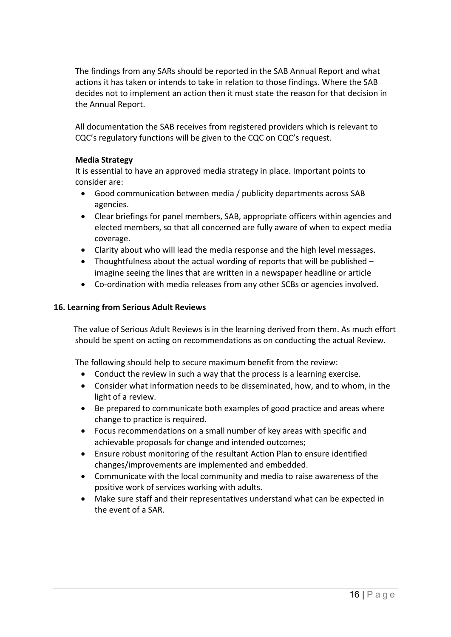The findings from any SARs should be reported in the SAB Annual Report and what actions it has taken or intends to take in relation to those findings. Where the SAB decides not to implement an action then it must state the reason for that decision in the Annual Report.

 All documentation the SAB receives from registered providers which is relevant to CQC's regulatory functions will be given to the CQC on CQC's request.

# **Media Strategy**

It is essential to have an approved media strategy in place. Important points to consider are:

- • Good communication between media / publicity departments across SAB agencies.
- elected members, so that all concerned are fully aware of when to expect media coverage. • Clear briefings for panel members, SAB, appropriate officers within agencies and
- Clarity about who will lead the media response and the high level messages.
- Thoughtfulness about the actual wording of reports that will be published  $$ imagine seeing the lines that are written in a newspaper headline or article
- Co-ordination with media releases from any other SCBs or agencies involved.

# **16. Learning from Serious Adult Reviews**

The value of Serious Adult Reviews is in the learning derived from them. As much effort should be spent on acting on recommendations as on conducting the actual Review.

The following should help to secure maximum benefit from the review:

- Conduct the review in such a way that the process is a learning exercise.
- light of a review. • Consider what information needs to be disseminated, how, and to whom, in the
- change to practice is required. • Be prepared to communicate both examples of good practice and areas where
- achievable proposals for change and intended outcomes; • Focus recommendations on a small number of key areas with specific and
- Ensure robust monitoring of the resultant Action Plan to ensure identified changes/improvements are implemented and embedded.
- Communicate with the local community and media to raise awareness of the positive work of services working with adults.
- Make sure staff and their representatives understand what can be expected in the event of a SAR.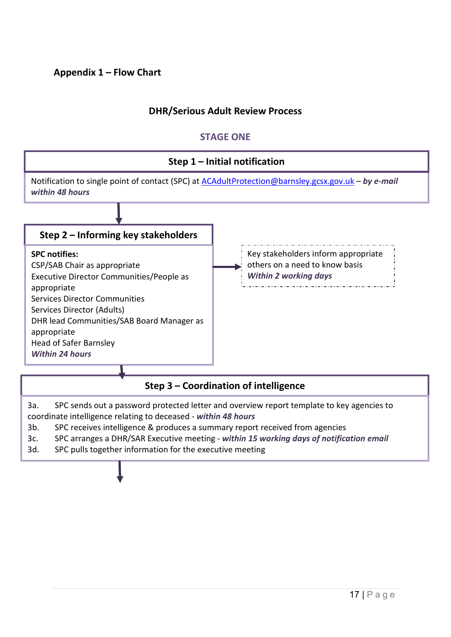# **Appendix 1 – Flow Chart**

# **DHR/Serious Adult Review Process**

# **STAGE ONE**



3a. SPC sends out a password protected letter and overview report template to key agencies to coordinate intelligence relating to deceased - *within 48 hours* 

- 3b. SPC receives intelligence & produces a summary report received from agencies
- 3c. SPC arranges a DHR/SAR Executive meeting *within 15 working days of notification email*
- 3d. SPC pulls together information for the executive meeting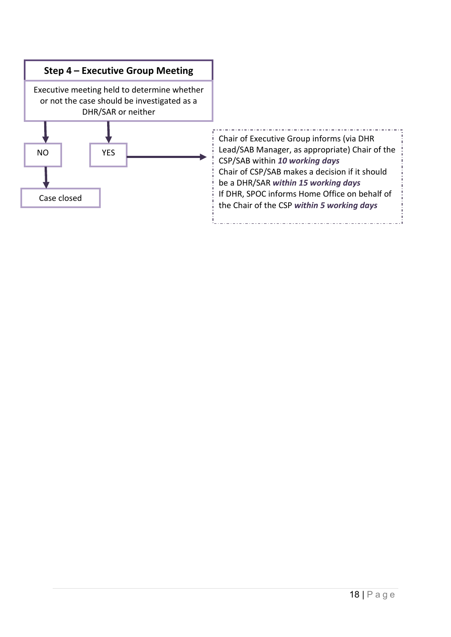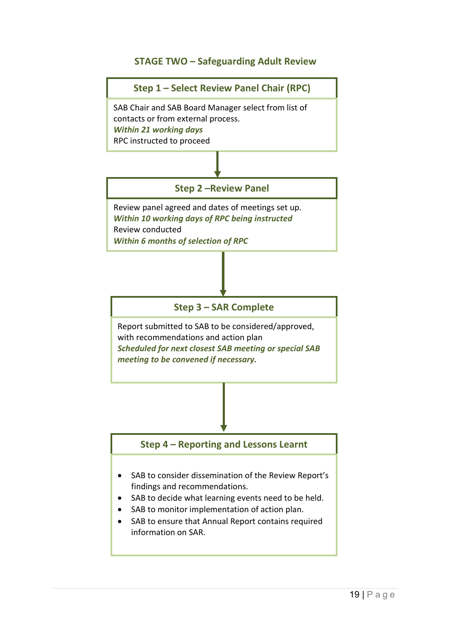# **STAGE TWO –Safeguarding Adult Review**

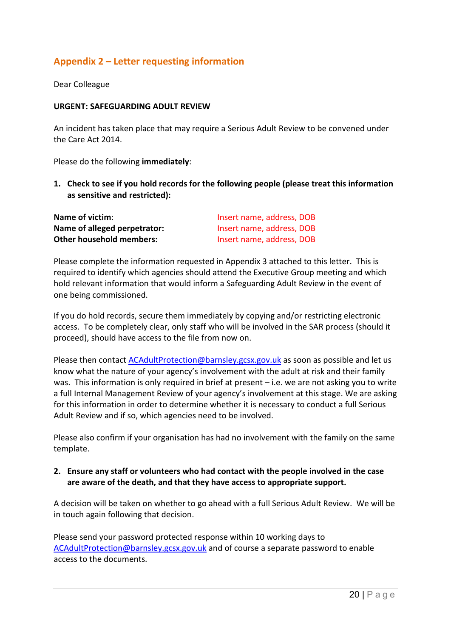# **Appendix 2 – Letter requesting information**

Dear Colleague

#### **URGENT: SAFEGUARDING ADULT REVIEW**

 An incident has taken place that may require a Serious Adult Review to be convened under the Care Act 2014.

Please do the following **immediately**:

 **1. Check to see if you hold records for the following people (please treat this information as sensitive and restricted):** 

| Name of victim:                 | Insert name, address, DOB |
|---------------------------------|---------------------------|
| Name of alleged perpetrator:    | Insert name, address, DOB |
| <b>Other household members:</b> | Insert name, address, DOB |

 Please complete the information requested in Appendix 3 attached to this letter. This is required to identify which agencies should attend the Executive Group meeting and which hold relevant information that would inform a Safeguarding Adult Review in the event of one being commissioned.

 If you do hold records, secure them immediately by copying and/or restricting electronic proceed), should have access to the file from now on. access. To be completely clear, only staff who will be involved in the SAR process (should it

was. This information is only required in brief at present - i.e. we are not asking you to write a full Internal Management Review of your agency's involvement at this stage. We are asking for this information in order to determine whether it is necessary to conduct a full Serious Adult Review and if so, which agencies need to be involved. Please then contact [ACAdultProtection@barnsley.gcsx.gov.uk](mailto:ACAdultProtection@barnsley.gcsx.gov.uk) as soon as possible and let us know what the nature of your agency's involvement with the adult at risk and their family

Adult Review and if so, which agencies need to be involved.<br>Please also confirm if your organisation has had no involvement with the family on the same template.

# **2. Ensure any staff or volunteers who had contact with the people involved in the case are aware of the death, and that they have access to appropriate support.**

 A decision will be taken on whether to go ahead with a full Serious Adult Review. We will be in touch again following that decision.

 Please send your password protected response within 10 working days to [ACAdultProtection@barnsley.gcsx.gov.uk](mailto:ACAdultProtection@barnsley.gcsx.gov.uk) and of course a separate password to enable access to the documents.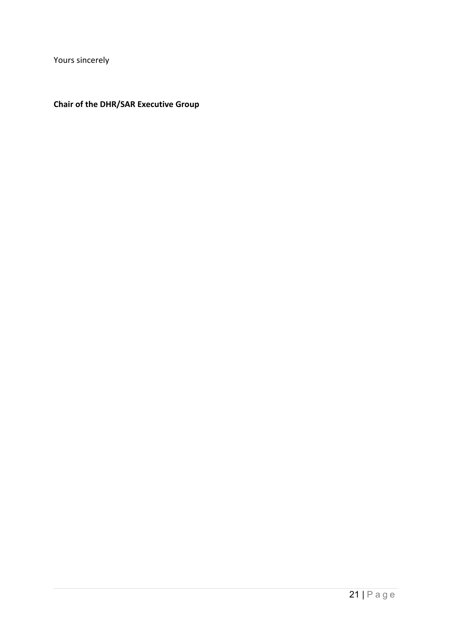Yours sincerely

#### **Chair of the DHR/SAR Executive Group**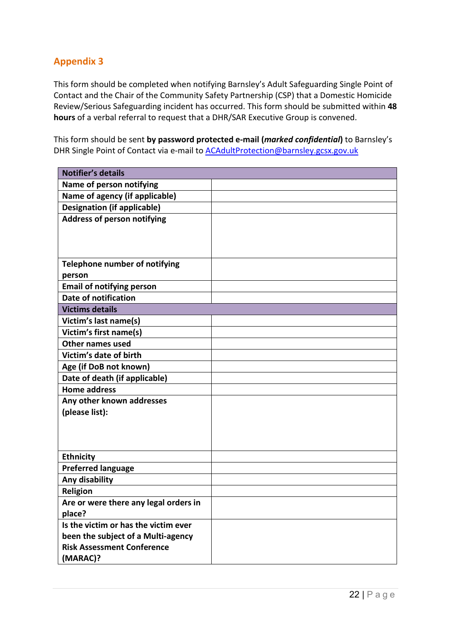# **Appendix 3**

 This form should be completed when notifying Barnsley's Adult Safeguarding Single Point of Contact and the Chair of the Community Safety Partnership (CSP) that a Domestic Homicide Review/Serious Safeguarding incident has occurred. This form should be submitted within **48 hours** of a verbal referral to request that a DHR/SAR Executive Group is convened.

This form should be sent **by password protected e-mail (***marked confidential***)** to Barnsley's DHR Single Point of Contact via e-mail to **ACAdultProtection@barnsley.gcsx.gov.uk** 

| <b>Notifier's details</b>             |  |
|---------------------------------------|--|
| Name of person notifying              |  |
| Name of agency (if applicable)        |  |
| <b>Designation (if applicable)</b>    |  |
| <b>Address of person notifying</b>    |  |
|                                       |  |
|                                       |  |
|                                       |  |
| <b>Telephone number of notifying</b>  |  |
| person                                |  |
| <b>Email of notifying person</b>      |  |
| <b>Date of notification</b>           |  |
| <b>Victims details</b>                |  |
| Victim's last name(s)                 |  |
| Victim's first name(s)                |  |
| <b>Other names used</b>               |  |
| Victim's date of birth                |  |
| Age (if DoB not known)                |  |
| Date of death (if applicable)         |  |
| <b>Home address</b>                   |  |
| Any other known addresses             |  |
| (please list):                        |  |
|                                       |  |
|                                       |  |
|                                       |  |
| <b>Ethnicity</b>                      |  |
| <b>Preferred language</b>             |  |
| Any disability                        |  |
| Religion                              |  |
| Are or were there any legal orders in |  |
| place?                                |  |
| Is the victim or has the victim ever  |  |
| been the subject of a Multi-agency    |  |
| <b>Risk Assessment Conference</b>     |  |
| (MARAC)?                              |  |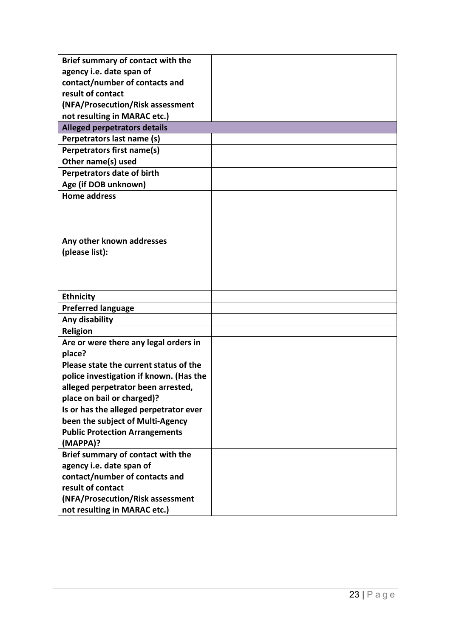| Brief summary of contact with the<br>agency i.e. date span of |  |
|---------------------------------------------------------------|--|
| contact/number of contacts and                                |  |
| result of contact                                             |  |
| (NFA/Prosecution/Risk assessment                              |  |
| not resulting in MARAC etc.)                                  |  |
| <b>Alleged perpetrators details</b>                           |  |
| Perpetrators last name (s)                                    |  |
| Perpetrators first name(s)                                    |  |
| Other name(s) used                                            |  |
|                                                               |  |
| Perpetrators date of birth                                    |  |
| Age (if DOB unknown)                                          |  |
| <b>Home address</b>                                           |  |
|                                                               |  |
|                                                               |  |
|                                                               |  |
| Any other known addresses                                     |  |
| (please list):                                                |  |
|                                                               |  |
|                                                               |  |
|                                                               |  |
| <b>Ethnicity</b>                                              |  |
| <b>Preferred language</b>                                     |  |
| Any disability                                                |  |
| Religion                                                      |  |
| Are or were there any legal orders in                         |  |
| place?                                                        |  |
| Please state the current status of the                        |  |
| police investigation if known. (Has the                       |  |
| alleged perpetrator been arrested,                            |  |
| place on bail or charged)?                                    |  |
| Is or has the alleged perpetrator ever                        |  |
| been the subject of Multi-Agency                              |  |
| <b>Public Protection Arrangements</b>                         |  |
| (MAPPA)?                                                      |  |
| Brief summary of contact with the                             |  |
| agency i.e. date span of                                      |  |
| contact/number of contacts and                                |  |
| result of contact                                             |  |
| (NFA/Prosecution/Risk assessment                              |  |
| not resulting in MARAC etc.)                                  |  |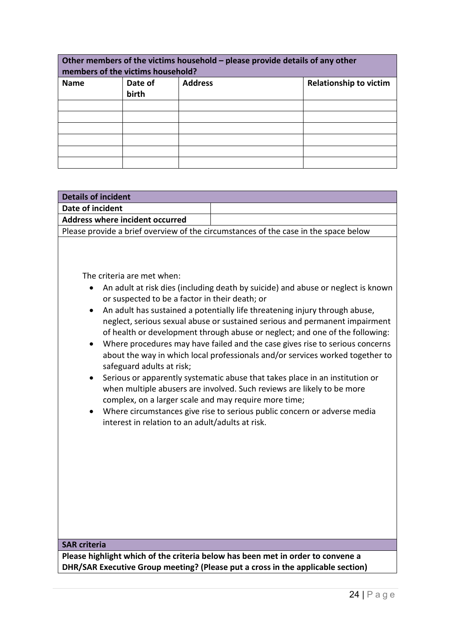| Other members of the victims household - please provide details of any other<br>members of the victims household? |                  |                |                               |
|-------------------------------------------------------------------------------------------------------------------|------------------|----------------|-------------------------------|
| <b>Name</b>                                                                                                       | Date of<br>birth | <b>Address</b> | <b>Relationship to victim</b> |
|                                                                                                                   |                  |                |                               |
|                                                                                                                   |                  |                |                               |
|                                                                                                                   |                  |                |                               |
|                                                                                                                   |                  |                |                               |
|                                                                                                                   |                  |                |                               |
|                                                                                                                   |                  |                |                               |

| <b>Details of incident</b>                                                                                                                                                                                                                                                   |                                                                                                                                                                                                                                                                                                                                                                                                                                                                                                                                                                                                                                                                                                                                       |  |
|------------------------------------------------------------------------------------------------------------------------------------------------------------------------------------------------------------------------------------------------------------------------------|---------------------------------------------------------------------------------------------------------------------------------------------------------------------------------------------------------------------------------------------------------------------------------------------------------------------------------------------------------------------------------------------------------------------------------------------------------------------------------------------------------------------------------------------------------------------------------------------------------------------------------------------------------------------------------------------------------------------------------------|--|
| Date of incident                                                                                                                                                                                                                                                             |                                                                                                                                                                                                                                                                                                                                                                                                                                                                                                                                                                                                                                                                                                                                       |  |
| Address where incident occurred                                                                                                                                                                                                                                              |                                                                                                                                                                                                                                                                                                                                                                                                                                                                                                                                                                                                                                                                                                                                       |  |
|                                                                                                                                                                                                                                                                              | Please provide a brief overview of the circumstances of the case in the space below                                                                                                                                                                                                                                                                                                                                                                                                                                                                                                                                                                                                                                                   |  |
| The criteria are met when:<br>٠<br>or suspected to be a factor in their death; or<br>$\bullet$<br>$\bullet$<br>safeguard adults at risk;<br>complex, on a larger scale and may require more time;<br>interest in relation to an adult/adults at risk.<br><b>SAR criteria</b> | An adult at risk dies (including death by suicide) and abuse or neglect is known<br>An adult has sustained a potentially life threatening injury through abuse,<br>neglect, serious sexual abuse or sustained serious and permanent impairment<br>of health or development through abuse or neglect; and one of the following:<br>Where procedures may have failed and the case gives rise to serious concerns<br>about the way in which local professionals and/or services worked together to<br>Serious or apparently systematic abuse that takes place in an institution or<br>when multiple abusers are involved. Such reviews are likely to be more<br>Where circumstances give rise to serious public concern or adverse media |  |
|                                                                                                                                                                                                                                                                              |                                                                                                                                                                                                                                                                                                                                                                                                                                                                                                                                                                                                                                                                                                                                       |  |
| Please highlight which of the criteria below has been met in order to convene a<br>DHR/SAR Executive Group meeting? (Please put a cross in the applicable section)                                                                                                           |                                                                                                                                                                                                                                                                                                                                                                                                                                                                                                                                                                                                                                                                                                                                       |  |
|                                                                                                                                                                                                                                                                              |                                                                                                                                                                                                                                                                                                                                                                                                                                                                                                                                                                                                                                                                                                                                       |  |

÷.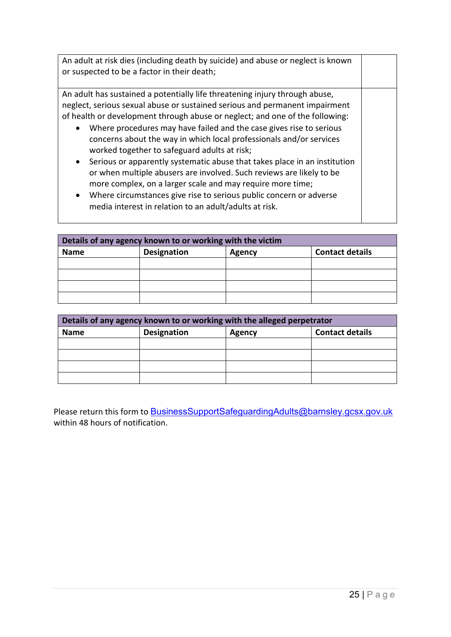| An adult at risk dies (including death by suicide) and abuse or neglect is known<br>or suspected to be a factor in their death;                                                                                                                                                                                                                                                                                                                                                                                                                                                                                                                                                                                                                                                                                                    |  |
|------------------------------------------------------------------------------------------------------------------------------------------------------------------------------------------------------------------------------------------------------------------------------------------------------------------------------------------------------------------------------------------------------------------------------------------------------------------------------------------------------------------------------------------------------------------------------------------------------------------------------------------------------------------------------------------------------------------------------------------------------------------------------------------------------------------------------------|--|
| An adult has sustained a potentially life threatening injury through abuse,<br>neglect, serious sexual abuse or sustained serious and permanent impairment<br>of health or development through abuse or neglect; and one of the following:<br>Where procedures may have failed and the case gives rise to serious<br>$\bullet$<br>concerns about the way in which local professionals and/or services<br>worked together to safeguard adults at risk;<br>Serious or apparently systematic abuse that takes place in an institution<br>$\bullet$<br>or when multiple abusers are involved. Such reviews are likely to be<br>more complex, on a larger scale and may require more time;<br>Where circumstances give rise to serious public concern or adverse<br>$\bullet$<br>media interest in relation to an adult/adults at risk. |  |

| Details of any agency known to or working with the victim |                    |               |                        |
|-----------------------------------------------------------|--------------------|---------------|------------------------|
| <b>Name</b>                                               | <b>Designation</b> | <b>Agency</b> | <b>Contact details</b> |
|                                                           |                    |               |                        |
|                                                           |                    |               |                        |
|                                                           |                    |               |                        |
|                                                           |                    |               |                        |

| Details of any agency known to or working with the alleged perpetrator |                    |        |                        |
|------------------------------------------------------------------------|--------------------|--------|------------------------|
| <b>Name</b>                                                            | <b>Designation</b> | Agency | <b>Contact details</b> |
|                                                                        |                    |        |                        |
|                                                                        |                    |        |                        |
|                                                                        |                    |        |                        |
|                                                                        |                    |        |                        |

Please return this form to **BusinessSupportSafeguardingAdults@barnsley.gcsx.gov.uk** within 48 hours of notification.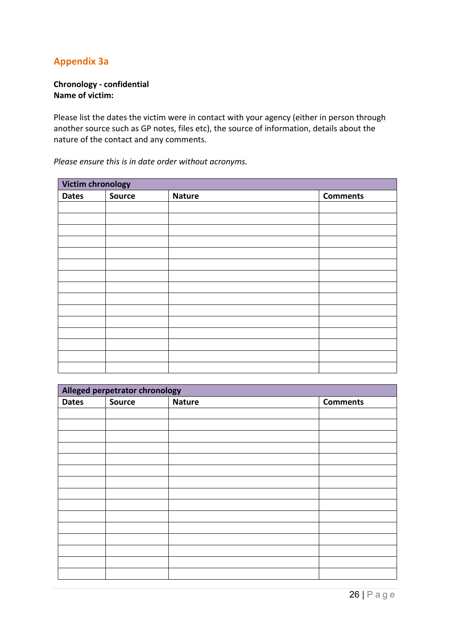# **Appendix 3a**

#### **Chronology - confidential Name of victim:**

 Please list the dates the victim were in contact with your agency (either in person through another source such as GP notes, files etc), the source of information, details about the nature of the contact and any comments.

| Victim chronology |               |               |                 |
|-------------------|---------------|---------------|-----------------|
| <b>Dates</b>      | <b>Source</b> | <b>Nature</b> | <b>Comments</b> |
|                   |               |               |                 |
|                   |               |               |                 |
|                   |               |               |                 |
|                   |               |               |                 |
|                   |               |               |                 |
|                   |               |               |                 |
|                   |               |               |                 |
|                   |               |               |                 |
|                   |               |               |                 |
|                   |               |               |                 |
|                   |               |               |                 |
|                   |               |               |                 |
|                   |               |               |                 |
|                   |               |               |                 |
|                   |               |               |                 |

*Please ensure this is in date order without acronyms.* 

| Alleged perpetrator chronology |               |               |                 |
|--------------------------------|---------------|---------------|-----------------|
| <b>Dates</b>                   | <b>Source</b> | <b>Nature</b> | <b>Comments</b> |
|                                |               |               |                 |
|                                |               |               |                 |
|                                |               |               |                 |
|                                |               |               |                 |
|                                |               |               |                 |
|                                |               |               |                 |
|                                |               |               |                 |
|                                |               |               |                 |
|                                |               |               |                 |
|                                |               |               |                 |
|                                |               |               |                 |
|                                |               |               |                 |
|                                |               |               |                 |
|                                |               |               |                 |
|                                |               |               |                 |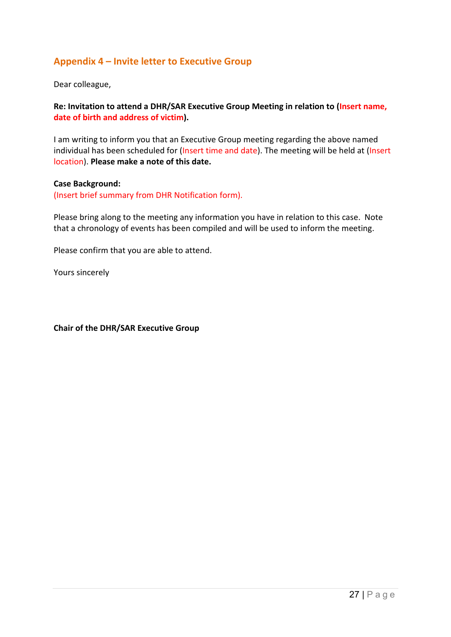# **Appendix 4 – Invite letter to Executive Group**

Dear colleague,

**Re: Invitation to attend a DHR/SAR Executive Group Meeting in relation to (Insert name, date of birth and address of victim).** 

 I am writing to inform you that an Executive Group meeting regarding the above named individual has been scheduled for (Insert time and date). The meeting will be held at (Insert location). **Please make a note of this date.** 

#### **Case Background:**

(Insert brief summary from DHR Notification form).

 Please bring along to the meeting any information you have in relation to this case. Note that a chronology of events has been compiled and will be used to inform the meeting.

Please confirm that you are able to attend.

Yours sincerely

 **Chair of the DHR/SAR Executive Group**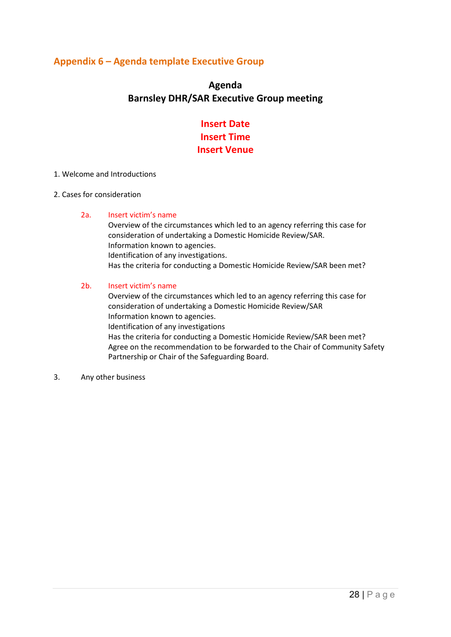# **Appendix 6 – Agenda template Executive Group**

# **Agenda Barnsley DHR/SAR Executive Group meeting**

# **Insert Date Insert Time Insert Venue**

#### 1. Welcome and Introductions

#### 2. Cases for consideration

#### 2a. Insert victim's name

Overview of the circumstances which led to an agency referring this case for consideration of undertaking a Domestic Homicide Review/SAR. Information known to agencies. Identification of any investigations. Has the criteria for conducting a Domestic Homicide Review/SAR been met?

#### 2b. Insert victim's name

Overview of the circumstances which led to an agency referring this case for consideration of undertaking a Domestic Homicide Review/SAR Information known to agencies. Identification of any investigations Has the criteria for conducting a Domestic Homicide Review/SAR been met? Agree on the recommendation to be forwarded to the Chair of Community Safety Partnership or Chair of the Safeguarding Board.

3. Any other business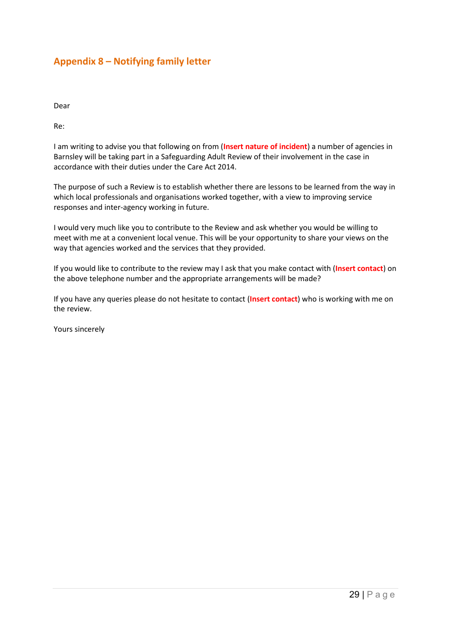# **Appendix 8 – Notifying family letter**

Dear

Re:

 Barnsley will be taking part in a Safeguarding Adult Review of their involvement in the case in I am writing to advise you that following on from (**Insert nature of incident**) a number of agencies in accordance with their duties under the Care Act 2014.

The purpose of such a Review is to establish whether there are lessons to be learned from the way in which local professionals and organisations worked together, with a view to improving service responses and inter-agency working in future.

 I would very much like you to contribute to the Review and ask whether you would be willing to way that agencies worked and the services that they provided. meet with me at a convenient local venue. This will be your opportunity to share your views on the

the above telephone number and the appropriate arrangements will be made? If you would like to contribute to the review may I ask that you make contact with (**Insert contact**) on

the above telephone number and the appropriate arrangements will be made?<br>If you have any queries please do not hesitate to contact (<mark>Insert contact</mark>) who is working with me on the review.

Yours sincerely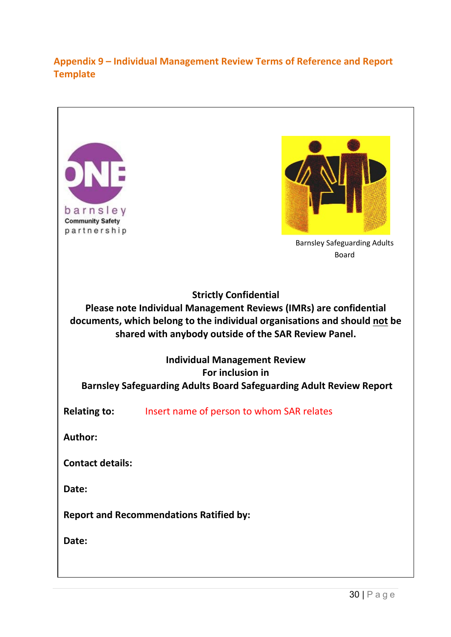# **Appendix 9 – Individual Management Review Terms of Reference and Report Template**

| barnsley<br><b>Community Safety</b><br>partnership                                                                                                                                                                                     | <b>Barnsley Safeguarding Adults</b><br><b>Board</b>                        |  |  |  |
|----------------------------------------------------------------------------------------------------------------------------------------------------------------------------------------------------------------------------------------|----------------------------------------------------------------------------|--|--|--|
|                                                                                                                                                                                                                                        |                                                                            |  |  |  |
| <b>Strictly Confidential</b><br>Please note Individual Management Reviews (IMRs) are confidential<br>documents, which belong to the individual organisations and should not be<br>shared with anybody outside of the SAR Review Panel. |                                                                            |  |  |  |
|                                                                                                                                                                                                                                        | <b>Individual Management Review</b>                                        |  |  |  |
|                                                                                                                                                                                                                                        | For inclusion in                                                           |  |  |  |
|                                                                                                                                                                                                                                        | <b>Barnsley Safeguarding Adults Board Safeguarding Adult Review Report</b> |  |  |  |
| <b>Relating to:</b>                                                                                                                                                                                                                    | Insert name of person to whom SAR relates                                  |  |  |  |
| <b>Author:</b>                                                                                                                                                                                                                         |                                                                            |  |  |  |
| <b>Contact details:</b>                                                                                                                                                                                                                |                                                                            |  |  |  |
| Date:                                                                                                                                                                                                                                  |                                                                            |  |  |  |
| <b>Report and Recommendations Ratified by:</b>                                                                                                                                                                                         |                                                                            |  |  |  |
| Date:                                                                                                                                                                                                                                  |                                                                            |  |  |  |
|                                                                                                                                                                                                                                        |                                                                            |  |  |  |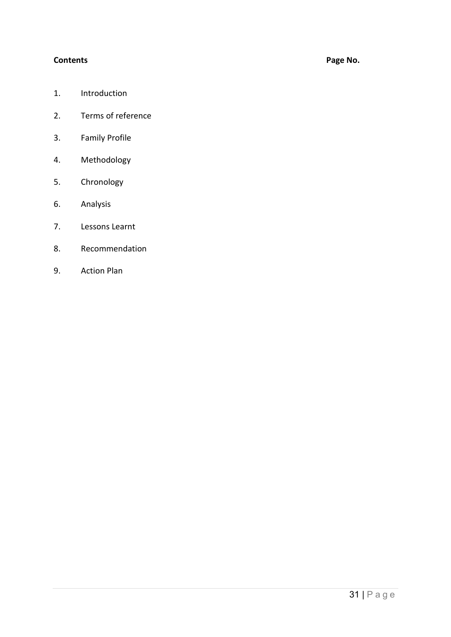#### **Contents**

# Page No.

- 1. Introduction
- 2. Terms of reference
- 3. Family Profile
- 4. Methodology
- 5. Chronology
- 6. Analysis
- 7. Lessons Learnt
- 8. Recommendation
- 9. Action Plan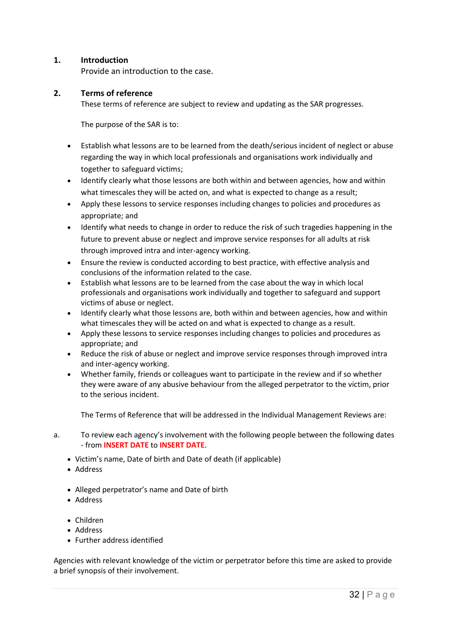#### **1. Introduction**

Provide an introduction to the case.

#### **2. Terms of reference**

These terms of reference are subject to review and updating as the SAR progresses.

The purpose of the SAR is to:

- • Establish what lessons are to be learned from the death/serious incident of neglect or abuse regarding the way in which local professionals and organisations work individually and together to safeguard victims;
- • Identify clearly what those lessons are both within and between agencies, how and within what timescales they will be acted on, and what is expected to change as a result;
- • Apply these lessons to service responses including changes to policies and procedures as appropriate; and
- through improved intra and inter-agency working. • Identify what needs to change in order to reduce the risk of such tragedies happening in the future to prevent abuse or neglect and improve service responses for all adults at risk
- • Ensure the review is conducted according to best practice, with effective analysis and conclusions of the information related to the case.
- Establish what lessons are to be learned from the case about the way in which local professionals and organisations work individually and together to safeguard and support victims of abuse or neglect.
- • Identify clearly what those lessons are, both within and between agencies, how and within what timescales they will be acted on and what is expected to change as a result.
- • Apply these lessons to service responses including changes to policies and procedures as appropriate; and
- Reduce the risk of abuse or neglect and improve service responses through improved intra and inter-agency working.
- • Whether family, friends or colleagues want to participate in the review and if so whether they were aware of any abusive behaviour from the alleged perpetrator to the victim, prior to the serious incident.

The Terms of Reference that will be addressed in the Individual Management Reviews are:

- $a.$ To review each agency's involvement with the following people between the following dates - from **INSERT DATE** to **INSERT DATE**.
	- Victim's name, Date of birth and Date of death (if applicable)
	- Address
	- Alleged perpetrator's name and Date of birth
	- Address
	- Children
	- Address
	- Further address identified

Agencies with relevant knowledge of the victim or perpetrator before this time are asked to provide a brief synopsis of their involvement.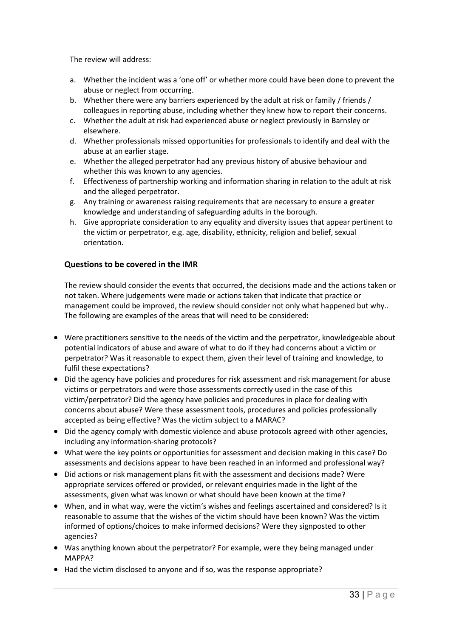The review will address:

- a. Whether the incident was a 'one off' or whether more could have been done to prevent the abuse or neglect from occurring.
- b. Whether there were any barriers experienced by the adult at risk or family / friends / colleagues in reporting abuse, including whether they knew how to report their concerns.
- c. Whether the adult at risk had experienced abuse or neglect previously in Barnsley or elsewhere.
- d. Whether professionals missed opportunities for professionals to identify and deal with the abuse at an earlier stage.
- whether this was known to any agencies. e. Whether the alleged perpetrator had any previous history of abusive behaviour and
- f. Effectiveness of partnership working and information sharing in relation to the adult at risk and the alleged perpetrator.
- g. Any training or awareness raising requirements that are necessary to ensure a greater knowledge and understanding of safeguarding adults in the borough.
- h. Give appropriate consideration to any equality and diversity issues that appear pertinent to the victim or perpetrator, e.g. age, disability, ethnicity, religion and belief, sexual orientation.

#### **Questions to be covered in the IMR**

 The review should consider the events that occurred, the decisions made and the actions taken or management could be improved, the review should consider not only what happened but why.. not taken. Where judgements were made or actions taken that indicate that practice or The following are examples of the areas that will need to be considered:

- potential indicators of abuse and aware of what to do if they had concerns about a victim or perpetrator? Was it reasonable to expect them, given their level of training and knowledge, to • Were practitioners sensitive to the needs of the victim and the perpetrator, knowledgeable about fulfil these expectations?
- Did the agency have policies and procedures for risk assessment and risk management for abuse victims or perpetrators and were those assessments correctly used in the case of this victim/perpetrator? Did the agency have policies and procedures in place for dealing with concerns about abuse? Were these assessment tools, procedures and policies professionally accepted as being effective? Was the victim subject to a MARAC?
- • Did the agency comply with domestic violence and abuse protocols agreed with other agencies, including any information-sharing protocols?
- • What were the key points or opportunities for assessment and decision making in this case? Do assessments and decisions appear to have been reached in an informed and professional way?
- • Did actions or risk management plans fit with the assessment and decisions made? Were assessments, given what was known or what should have been known at the time? appropriate services offered or provided, or relevant enquiries made in the light of the
- • When, and in what way, were the victim's wishes and feelings ascertained and considered? Is it reasonable to assume that the wishes of the victim should have been known? Was the victim informed of options/choices to make informed decisions? Were they signposted to other agencies?
- Was anything known about the perpetrator? For example, were they being managed under MAPPA?
- Had the victim disclosed to anyone and if so, was the response appropriate?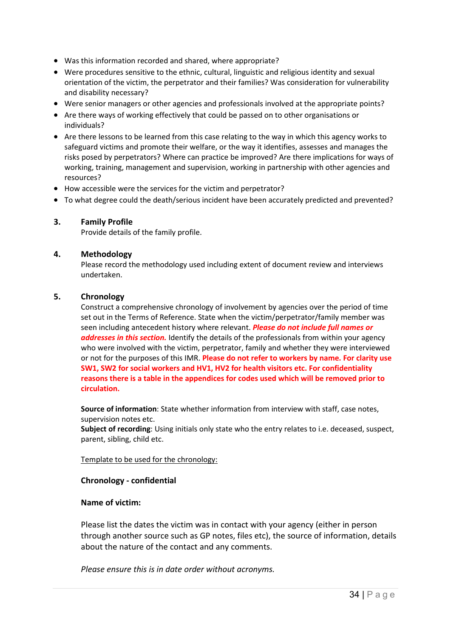- Was this information recorded and shared, where appropriate?
- • Were procedures sensitive to the ethnic, cultural, linguistic and religious identity and sexual orientation of the victim, the perpetrator and their families? Was consideration for vulnerability and disability necessary?
- Were senior managers or other agencies and professionals involved at the appropriate points?
- • Are there ways of working effectively that could be passed on to other organisations or individuals?
- • Are there lessons to be learned from this case relating to the way in which this agency works to safeguard victims and promote their welfare, or the way it identifies, assesses and manages the risks posed by perpetrators? Where can practice be improved? Are there implications for ways of working, training, management and supervision, working in partnership with other agencies and resources?
- How accessible were the services for the victim and perpetrator?
- To what degree could the death/serious incident have been accurately predicted and prevented?

#### **3. Family Profile**

Provide details of the family profile.

#### **4. Methodology**

Please record the methodology used including extent of document review and interviews undertaken.

#### **5. Chronology**

 set out in the Terms of Reference. State when the victim/perpetrator/family member was  or not for the purposes of this IMR. **Please do not refer to workers by name. For clarity use reasons there is a table in the appendices for codes used which will be removed prior to**  Construct a comprehensive chronology of involvement by agencies over the period of time seen including antecedent history where relevant. *Please do not include full names or addresses in this section.* Identify the details of the professionals from within your agency who were involved with the victim, perpetrator, family and whether they were interviewed **SW1, SW2 for social workers and HV1, HV2 for health visitors etc. For confidentiality circulation.** 

**Source of information**: State whether information from interview with staff, case notes, supervision notes etc.

**Subject of recording**: Using initials only state who the entry relates to i.e. deceased, suspect, parent, sibling, child etc.

Template to be used for the chronology:

#### **Chronology - confidential**

#### **Name of victim:**

 Please list the dates the victim was in contact with your agency (either in person through another source such as GP notes, files etc), the source of information, details about the nature of the contact and any comments.

*Please ensure this is in date order without acronyms.*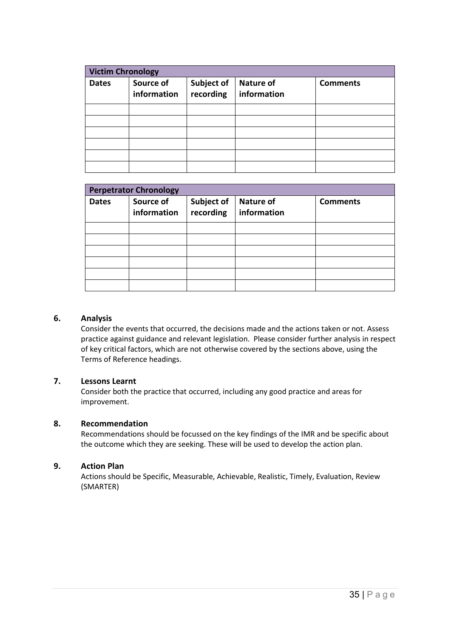| <b>Victim Chronology</b> |                          |                         |                                 |                 |  |  |
|--------------------------|--------------------------|-------------------------|---------------------------------|-----------------|--|--|
| <b>Dates</b>             | Source of<br>information | Subject of<br>recording | <b>Nature of</b><br>information | <b>Comments</b> |  |  |
|                          |                          |                         |                                 |                 |  |  |
|                          |                          |                         |                                 |                 |  |  |
|                          |                          |                         |                                 |                 |  |  |
|                          |                          |                         |                                 |                 |  |  |
|                          |                          |                         |                                 |                 |  |  |
|                          |                          |                         |                                 |                 |  |  |

| <b>Perpetrator Chronology</b> |                          |                         |                                 |                 |  |  |
|-------------------------------|--------------------------|-------------------------|---------------------------------|-----------------|--|--|
| <b>Dates</b>                  | Source of<br>information | Subject of<br>recording | <b>Nature of</b><br>information | <b>Comments</b> |  |  |
|                               |                          |                         |                                 |                 |  |  |
|                               |                          |                         |                                 |                 |  |  |
|                               |                          |                         |                                 |                 |  |  |
|                               |                          |                         |                                 |                 |  |  |
|                               |                          |                         |                                 |                 |  |  |
|                               |                          |                         |                                 |                 |  |  |

#### **6. Analysis**

 practice against guidance and relevant legislation. Please consider further analysis in respect of key critical factors, which are not otherwise covered by the sections above, using the Consider the events that occurred, the decisions made and the actions taken or not. Assess Terms of Reference headings.

#### **7. Lessons Learnt**

Consider both the practice that occurred, including any good practice and areas for improvement.

#### **8. Recommendation**

 Recommendations should be focussed on the key findings of the IMR and be specific about the outcome which they are seeking. These will be used to develop the action plan.

#### **9. Action Plan**

 Actions should be Specific, Measurable, Achievable, Realistic, Timely, Evaluation, Review (SMARTER)